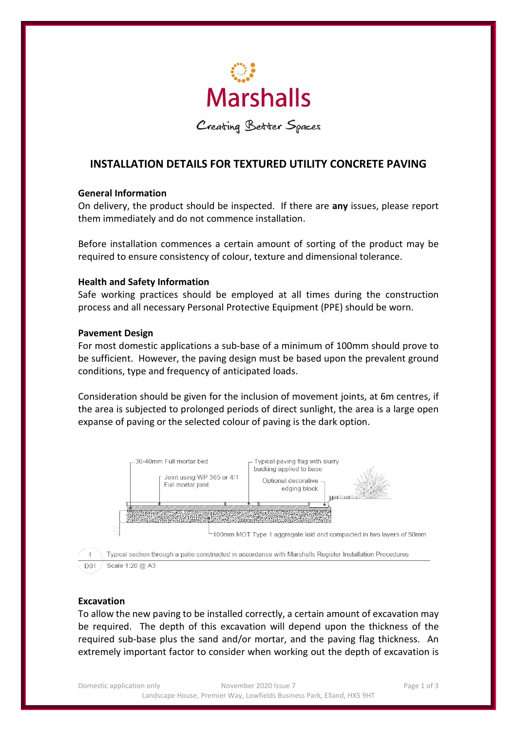

Creating Better Spaces

# **INSTALLATION DETAILS FOR TEXTURED UTILITY CONCRETE PAVING**

# **General Information**

On delivery, the product should be inspected. If there are **any** issues, please report them immediately and do not commence installation.

Before installation commences a certain amount of sorting of the product may be required to ensure consistency of colour, texture and dimensional tolerance.

# **Health and Safety Information**

Safe working practices should be employed at all times during the construction process and all necessary Personal Protective Equipment (PPE) should be worn.

# **Pavement Design**

For most domestic applications a sub-base of a minimum of 100mm should prove to be sufficient. However, the paving design must be based upon the prevalent ground conditions, type and frequency of anticipated loads.

Consideration should be given for the inclusion of movement joints, at 6m centres, if the area is subjected to prolonged periods of direct sunlight, the area is a large open expanse of paving or the selected colour of paving is the dark option.



#### **Excavation**

To allow the new paving to be installed correctly, a certain amount of excavation may be required. The depth of this excavation will depend upon the thickness of the required sub-base plus the sand and/or mortar, and the paving flag thickness. An extremely important factor to consider when working out the depth of excavation is

Domestic application only **November 2020** Issue 7 **Page 1 of 3** Page 1 of 3 Landscape House, Premier Way, Lowfields Business Park, Elland, HX5 9HT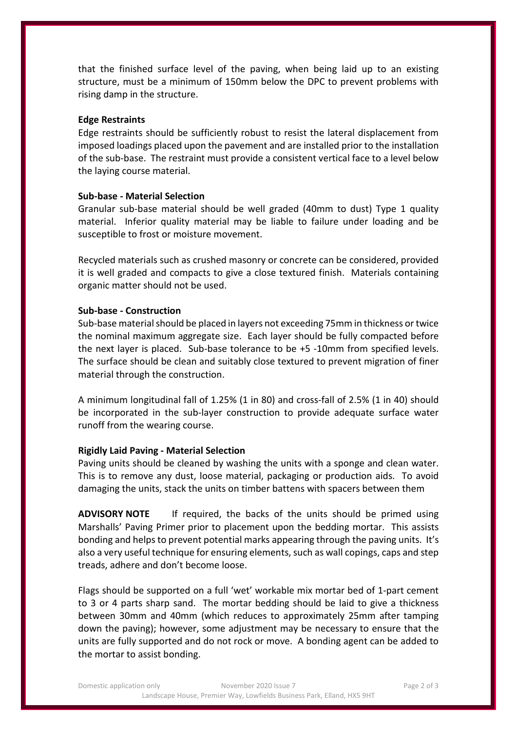that the finished surface level of the paving, when being laid up to an existing structure, must be a minimum of 150mm below the DPC to prevent problems with rising damp in the structure.

#### **Edge Restraints**

Edge restraints should be sufficiently robust to resist the lateral displacement from imposed loadings placed upon the pavement and are installed prior to the installation of the sub-base. The restraint must provide a consistent vertical face to a level below the laying course material.

#### **Sub-base - Material Selection**

Granular sub-base material should be well graded (40mm to dust) Type 1 quality material. Inferior quality material may be liable to failure under loading and be susceptible to frost or moisture movement.

Recycled materials such as crushed masonry or concrete can be considered, provided it is well graded and compacts to give a close textured finish. Materials containing organic matter should not be used.

#### **Sub-base - Construction**

Sub-base material should be placed in layers not exceeding 75mm in thickness ortwice the nominal maximum aggregate size. Each layer should be fully compacted before the next layer is placed. Sub-base tolerance to be +5 -10mm from specified levels. The surface should be clean and suitably close textured to prevent migration of finer material through the construction.

A minimum longitudinal fall of 1.25% (1 in 80) and cross-fall of 2.5% (1 in 40) should be incorporated in the sub-layer construction to provide adequate surface water runoff from the wearing course.

#### **Rigidly Laid Paving - Material Selection**

Paving units should be cleaned by washing the units with a sponge and clean water. This is to remove any dust, loose material, packaging or production aids. To avoid damaging the units, stack the units on timber battens with spacers between them

**ADVISORY NOTE** If required, the backs of the units should be primed using Marshalls' Paving Primer prior to placement upon the bedding mortar. This assists bonding and helps to prevent potential marks appearing through the paving units. It's also a very useful technique for ensuring elements, such as wall copings, caps and step treads, adhere and don't become loose.

Flags should be supported on a full 'wet' workable mix mortar bed of 1-part cement to 3 or 4 parts sharp sand. The mortar bedding should be laid to give a thickness between 30mm and 40mm (which reduces to approximately 25mm after tamping down the paving); however, some adjustment may be necessary to ensure that the units are fully supported and do not rock or move. A bonding agent can be added to the mortar to assist bonding.